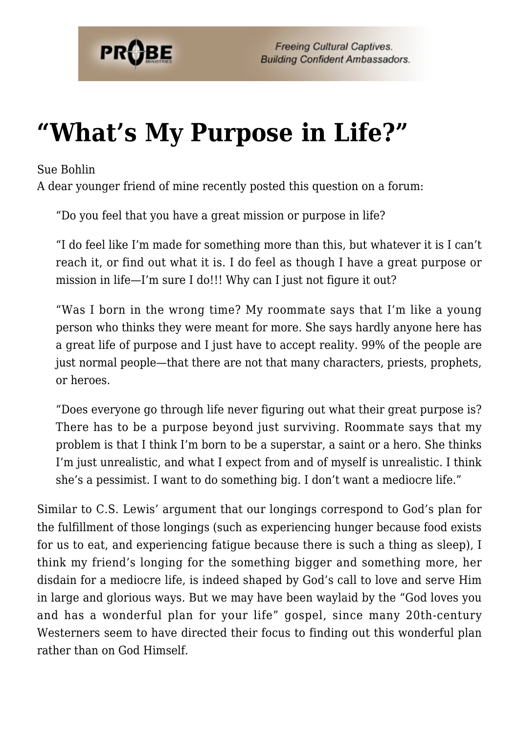

## **["What's My Purpose in Life?"](https://probe.org/whats-my-purpose-in-life/)**

Sue Bohlin

A dear younger friend of mine recently posted this question on a forum:

"Do you feel that you have a great mission or purpose in life?

"I do feel like I'm made for something more than this, but whatever it is I can't reach it, or find out what it is. I do feel as though I have a great purpose or mission in life—I'm sure I do!!! Why can I just not figure it out?

"Was I born in the wrong time? My roommate says that I'm like a young person who thinks they were meant for more. She says hardly anyone here has a great life of purpose and I just have to accept reality. 99% of the people are just normal people—that there are not that many characters, priests, prophets, or heroes.

"Does everyone go through life never figuring out what their great purpose is? There has to be a purpose beyond just surviving. Roommate says that my problem is that I think I'm born to be a superstar, a saint or a hero. She thinks I'm just unrealistic, and what I expect from and of myself is unrealistic. I think she's a pessimist. I want to do something big. I don't want a mediocre life."

Similar to C.S. Lewis' argument that our longings correspond to God's plan for the fulfillment of those longings (such as experiencing hunger because food exists for us to eat, and experiencing fatigue because there is such a thing as sleep), I think my friend's longing for the something bigger and something more, her disdain for a mediocre life, is indeed shaped by God's call to love and serve Him in large and glorious ways. But we may have been waylaid by the "God loves you and has a wonderful plan for your life" gospel, since many 20th-century Westerners seem to have directed their focus to finding out this wonderful plan rather than on God Himself.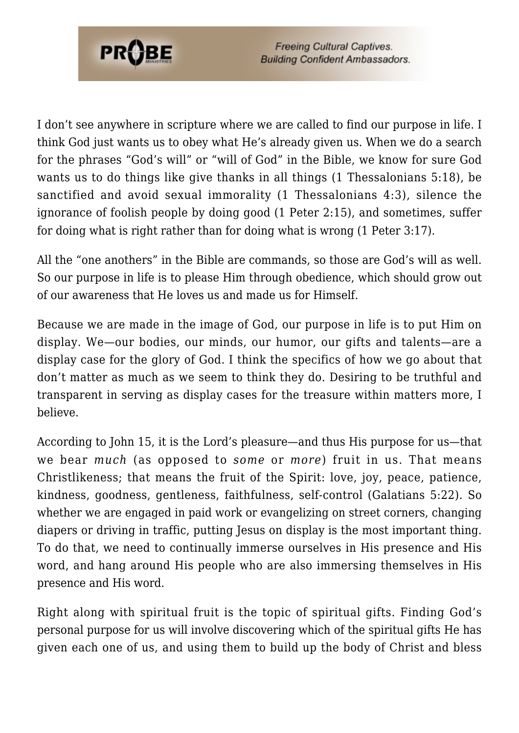

I don't see anywhere in scripture where we are called to find our purpose in life. I think God just wants us to obey what He's already given us. When we do a search for the phrases "God's will" or "will of God" in the Bible, we know for sure God wants us to do things like give thanks in all things (1 Thessalonians 5:18), be sanctified and avoid sexual immorality (1 Thessalonians 4:3), silence the ignorance of foolish people by doing good (1 Peter 2:15), and sometimes, suffer for doing what is right rather than for doing what is wrong (1 Peter 3:17).

All the "one anothers" in the Bible are commands, so those are God's will as well. So our purpose in life is to please Him through obedience, which should grow out of our awareness that He loves us and made us for Himself.

Because we are made in the image of God, our purpose in life is to put Him on display. We—our bodies, our minds, our humor, our gifts and talents—are a display case for the glory of God. I think the specifics of how we go about that don't matter as much as we seem to think they do. Desiring to be truthful and transparent in serving as display cases for the treasure within matters more, I believe.

According to John 15, it is the Lord's pleasure—and thus His purpose for us—that we bear *much* (as opposed to *some* or *more*) fruit in us. That means Christlikeness; that means the fruit of the Spirit: love, joy, peace, patience, kindness, goodness, gentleness, faithfulness, self-control (Galatians 5:22). So whether we are engaged in paid work or evangelizing on street corners, changing diapers or driving in traffic, putting Jesus on display is the most important thing. To do that, we need to continually immerse ourselves in His presence and His word, and hang around His people who are also immersing themselves in His presence and His word.

Right along with spiritual fruit is the topic of spiritual gifts. Finding God's personal purpose for us will involve discovering which of the spiritual gifts He has given each one of us, and using them to build up the body of Christ and bless